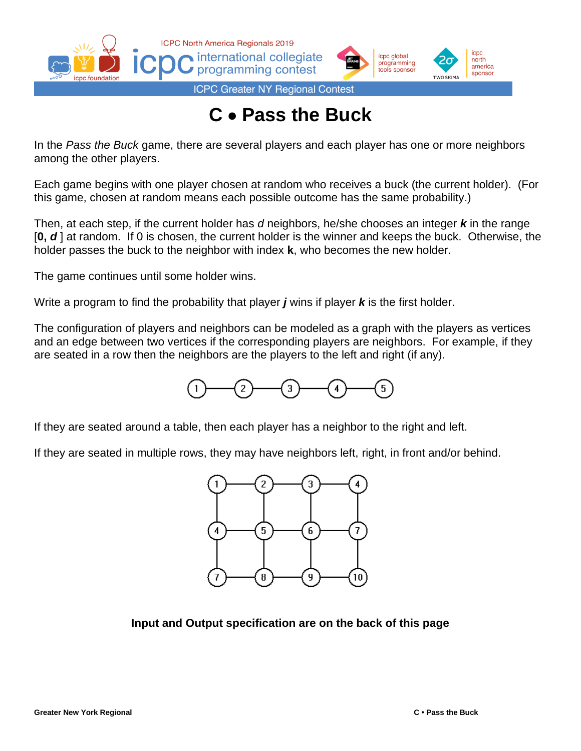



**ICPC Greater NY Regional Contest** 

## **C** • **Pass the Buck**

In the *Pass the Buck* game, there are several players and each player has one or more neighbors among the other players.

Each game begins with one player chosen at random who receives a buck (the current holder). (For this game, chosen at random means each possible outcome has the same probability.)

Then, at each step, if the current holder has *d* neighbors, he/she chooses an integer *k* in the range [**0,** *d* ] at random. If 0 is chosen, the current holder is the winner and keeps the buck. Otherwise, the holder passes the buck to the neighbor with index **k**, who becomes the new holder.

The game continues until some holder wins.

Write a program to find the probability that player *j* wins if player *k* is the first holder.

The configuration of players and neighbors can be modeled as a graph with the players as vertices and an edge between two vertices if the corresponding players are neighbors. For example, if they are seated in a row then the neighbors are the players to the left and right (if any).



If they are seated around a table, then each player has a neighbor to the right and left.

If they are seated in multiple rows, they may have neighbors left, right, in front and/or behind.



**Input and Output specification are on the back of this page**